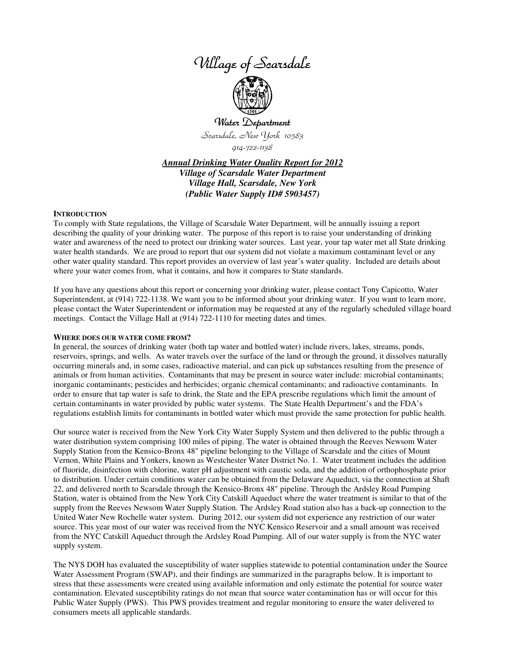

# Water Department Scarsdale, New York 10583 914-722-1138

*Annual Drinking Water Quality Report for 2012 Village of Scarsdale Water Department Village Hall, Scarsdale, New York (Public Water Supply ID# 5903457)*

#### **INTRODUCTION**

To comply with State regulations, the Village of Scarsdale Water Department, will be annually issuing a report describing the quality of your drinking water. The purpose of this report is to raise your understanding of drinking water and awareness of the need to protect our drinking water sources. Last year, your tap water met all State drinking water health standards. We are proud to report that our system did not violate a maximum contaminant level or any other water quality standard. This report provides an overview of last year's water quality. Included are details about where your water comes from, what it contains, and how it compares to State standards.

If you have any questions about this report or concerning your drinking water, please contact Tony Capicotto, Water Superintendent, at (914) 722-1138. We want you to be informed about your drinking water. If you want to learn more, please contact the Water Superintendent or information may be requested at any of the regularly scheduled village board meetings. Contact the Village Hall at (914) 722-1110 for meeting dates and times.

#### **WHERE DOES OUR WATER COME FROM?**

In general, the sources of drinking water (both tap water and bottled water) include rivers, lakes, streams, ponds, reservoirs, springs, and wells. As water travels over the surface of the land or through the ground, it dissolves naturally occurring minerals and, in some cases, radioactive material, and can pick up substances resulting from the presence of animals or from human activities. Contaminants that may be present in source water include: microbial contaminants; inorganic contaminants; pesticides and herbicides; organic chemical contaminants; and radioactive contaminants. In order to ensure that tap water is safe to drink, the State and the EPA prescribe regulations which limit the amount of certain contaminants in water provided by public water systems. The State Health Department's and the FDA's regulations establish limits for contaminants in bottled water which must provide the same protection for public health.

Our source water is received from the New York City Water Supply System and then delivered to the public through a water distribution system comprising 100 miles of piping. The water is obtained through the Reeves Newsom Water Supply Station from the Kensico-Bronx 48" pipeline belonging to the Village of Scarsdale and the cities of Mount Vernon, White Plains and Yonkers, known as Westchester Water District No. 1. Water treatment includes the addition of fluoride, disinfection with chlorine, water pH adjustment with caustic soda, and the addition of orthophosphate prior to distribution. Under certain conditions water can be obtained from the Delaware Aqueduct, via the connection at Shaft 22, and delivered north to Scarsdale through the Kensico-Bronx 48" pipeline. Through the Ardsley Road Pumping Station, water is obtained from the New York City Catskill Aqueduct where the water treatment is similar to that of the supply from the Reeves Newsom Water Supply Station. The Ardsley Road station also has a back-up connection to the United Water New Rochelle water system. During 2012, our system did not experience any restriction of our water source. This year most of our water was received from the NYC Kensico Reservoir and a small amount was received from the NYC Catskill Aqueduct through the Ardsley Road Pumping. All of our water supply is from the NYC water supply system.

The NYS DOH has evaluated the susceptibility of water supplies statewide to potential contamination under the Source Water Assessment Program (SWAP), and their findings are summarized in the paragraphs below. It is important to stress that these assessments were created using available information and only estimate the potential for source water contamination. Elevated susceptibility ratings do not mean that source water contamination has or will occur for this Public Water Supply (PWS). This PWS provides treatment and regular monitoring to ensure the water delivered to consumers meets all applicable standards.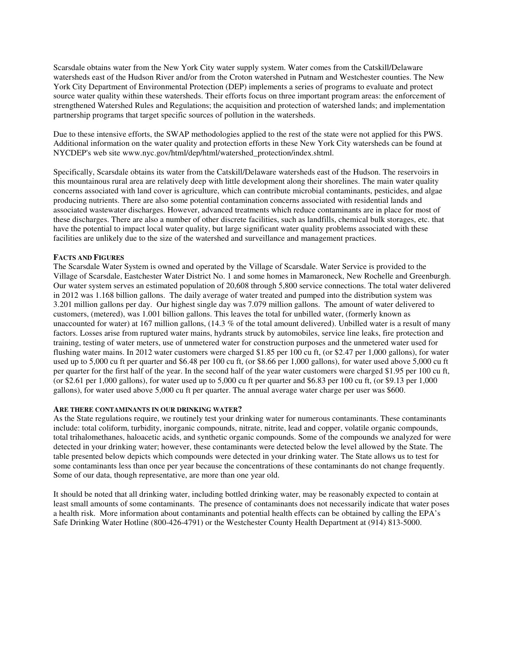Scarsdale obtains water from the New York City water supply system. Water comes from the Catskill/Delaware watersheds east of the Hudson River and/or from the Croton watershed in Putnam and Westchester counties. The New York City Department of Environmental Protection (DEP) implements a series of programs to evaluate and protect source water quality within these watersheds. Their efforts focus on three important program areas: the enforcement of strengthened Watershed Rules and Regulations; the acquisition and protection of watershed lands; and implementation partnership programs that target specific sources of pollution in the watersheds.

Due to these intensive efforts, the SWAP methodologies applied to the rest of the state were not applied for this PWS. Additional information on the water quality and protection efforts in these New York City watersheds can be found at NYCDEP's web site www.nyc.gov/html/dep/html/watershed\_protection/index.shtml.

Specifically, Scarsdale obtains its water from the Catskill/Delaware watersheds east of the Hudson. The reservoirs in this mountainous rural area are relatively deep with little development along their shorelines. The main water quality concerns associated with land cover is agriculture, which can contribute microbial contaminants, pesticides, and algae producing nutrients. There are also some potential contamination concerns associated with residential lands and associated wastewater discharges. However, advanced treatments which reduce contaminants are in place for most of these discharges. There are also a number of other discrete facilities, such as landfills, chemical bulk storages, etc. that have the potential to impact local water quality, but large significant water quality problems associated with these facilities are unlikely due to the size of the watershed and surveillance and management practices.

# **FACTS AND FIGURES**

The Scarsdale Water System is owned and operated by the Village of Scarsdale. Water Service is provided to the Village of Scarsdale, Eastchester Water District No. 1 and some homes in Mamaroneck, New Rochelle and Greenburgh. Our water system serves an estimated population of 20,608 through 5,800 service connections. The total water delivered in 2012 was 1.168 billion gallons. The daily average of water treated and pumped into the distribution system was 3.201 million gallons per day. Our highest single day was 7.079 million gallons. The amount of water delivered to customers, (metered), was 1.001 billion gallons. This leaves the total for unbilled water, (formerly known as unaccounted for water) at 167 million gallons,  $(14.3 %$  of the total amount delivered). Unbilled water is a result of many factors. Losses arise from ruptured water mains, hydrants struck by automobiles, service line leaks, fire protection and training, testing of water meters, use of unmetered water for construction purposes and the unmetered water used for flushing water mains. In 2012 water customers were charged \$1.85 per 100 cu ft, (or \$2.47 per 1,000 gallons), for water used up to 5,000 cu ft per quarter and \$6.48 per 100 cu ft, (or \$8.66 per 1,000 gallons), for water used above 5,000 cu ft per quarter for the first half of the year. In the second half of the year water customers were charged \$1.95 per 100 cu ft, (or \$2.61 per 1,000 gallons), for water used up to 5,000 cu ft per quarter and \$6.83 per 100 cu ft, (or \$9.13 per 1,000 gallons), for water used above 5,000 cu ft per quarter. The annual average water charge per user was \$600.

# **ARE THERE CONTAMINANTS IN OUR DRINKING WATER?**

As the State regulations require, we routinely test your drinking water for numerous contaminants. These contaminants include: total coliform, turbidity, inorganic compounds, nitrate, nitrite, lead and copper, volatile organic compounds, total trihalomethanes, haloacetic acids, and synthetic organic compounds. Some of the compounds we analyzed for were detected in your drinking water; however, these contaminants were detected below the level allowed by the State. The table presented below depicts which compounds were detected in your drinking water. The State allows us to test for some contaminants less than once per year because the concentrations of these contaminants do not change frequently. Some of our data, though representative, are more than one year old.

It should be noted that all drinking water, including bottled drinking water, may be reasonably expected to contain at least small amounts of some contaminants. The presence of contaminants does not necessarily indicate that water poses a health risk. More information about contaminants and potential health effects can be obtained by calling the EPA's Safe Drinking Water Hotline (800-426-4791) or the Westchester County Health Department at (914) 813-5000.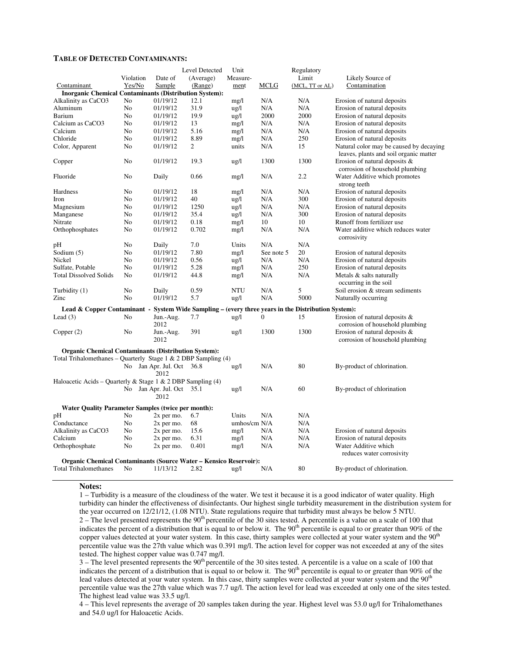#### **TABLE OF DETECTED CONTAMINANTS:**

|                                                                                                    |           |                                   | Level Detected | Unit         |              | Regulatory      |                                                                                   |
|----------------------------------------------------------------------------------------------------|-----------|-----------------------------------|----------------|--------------|--------------|-----------------|-----------------------------------------------------------------------------------|
|                                                                                                    | Violation | Date of                           | (Average)      | Measure-     |              | Limit           | Likely Source of                                                                  |
| Contaminant                                                                                        | Yes/No    | Sample                            | (Range)        | ment         | MCLG         | (MCL, TT or AL) | Contamination                                                                     |
| <b>Inorganic Chemical Contaminants (Distribution System):</b>                                      |           |                                   |                |              |              |                 |                                                                                   |
| Alkalinity as CaCO3                                                                                | No        | 01/19/12                          | 12.1           | mg/1         | N/A          | N/A             | Erosion of natural deposits                                                       |
| Aluminum                                                                                           | No        | 01/19/12                          | 31.9           | ug/l         | N/A          | N/A             | Erosion of natural deposits                                                       |
| Barium                                                                                             | No        | 01/19/12                          | 19.9           | ug/l         | 2000         | 2000            | Erosion of natural deposits                                                       |
| Calcium as CaCO3                                                                                   | No        | 01/19/12                          | 13             | mg/l         | N/A          | N/A             | Erosion of natural deposits                                                       |
| Calcium                                                                                            | No        | 01/19/12                          | 5.16           | mg/l         | N/A          | N/A             | Erosion of natural deposits                                                       |
| Chloride                                                                                           | No        | 01/19/12                          | 8.89           | mg/1         | N/A          | 250             | Erosion of natural deposits                                                       |
| Color, Apparent                                                                                    | No        | 01/19/12                          | $\overline{2}$ | units        | N/A          | 15              | Natural color may be caused by decaying<br>leaves, plants and soil organic matter |
| Copper                                                                                             | No        | 01/19/12                          | 19.3           | ug/l         | 1300         | 1300            | Erosion of natural deposits &<br>corrosion of household plumbing                  |
| Fluoride                                                                                           | No        | Daily                             | 0.66           | mg/1         | N/A          | 2.2             | Water Additive which promotes<br>strong teeth                                     |
| Hardness                                                                                           | No        | 01/19/12                          | 18             | mg/1         | N/A          | N/A             | Erosion of natural deposits                                                       |
| Iron                                                                                               | No        | 01/19/12                          | 40             | ug/l         | N/A          | 300             | Erosion of natural deposits                                                       |
| Magnesium                                                                                          | No        | 01/19/12                          | 1250           | ug/l         | N/A          | N/A             | Erosion of natural deposits                                                       |
| Manganese                                                                                          | No        | 01/19/12                          | 35.4           | ug/l         | N/A          | 300             | Erosion of natural deposits                                                       |
| Nitrate                                                                                            | No        | 01/19/12                          | 0.18           | mg/l         | 10           | 10              | Runoff from fertilizer use                                                        |
| Orthophosphates                                                                                    | No        | 01/19/12                          | 0.702          | mg/1         | N/A          | N/A             | Water additive which reduces water                                                |
|                                                                                                    |           |                                   |                |              |              |                 | corrosivity                                                                       |
| pH                                                                                                 | No        | Daily                             | 7.0            | Units        | N/A          | N/A             |                                                                                   |
| Sodium $(5)$                                                                                       | No        | 01/19/12                          | 7.80           | mg/1         | See note 5   | 20              | Erosion of natural deposits                                                       |
| Nickel                                                                                             | No        | 01/19/12                          | 0.56           | ug/l         | N/A          | N/A             | Erosion of natural deposits                                                       |
| Sulfate, Potable                                                                                   | No        | 01/19/12                          | 5.28           | mg/l         | N/A          | 250             | Erosion of natural deposits                                                       |
| <b>Total Dissolved Solids</b>                                                                      | No        | 01/19/12                          | 44.8           | mg/1         | N/A          | N/A             | Metals & salts naturally<br>occurring in the soil                                 |
| Turbidity (1)                                                                                      | No        | Daily                             | 0.59           | NTU          | N/A          | 5               | Soil erosion & stream sediments                                                   |
| Zinc                                                                                               | No        | 01/19/12                          | 5.7            | ug/l         | N/A          | 5000            | Naturally occurring                                                               |
| Lead & Copper Contaminant - System Wide Sampling – (every three years in the Distribution System): |           |                                   |                |              |              |                 |                                                                                   |
| Lead $(3)$                                                                                         | No        | Jun.-Aug.                         | 7.7            | ug/l         | $\mathbf{0}$ | 15              | Erosion of natural deposits $\&$                                                  |
|                                                                                                    |           | 2012                              |                |              |              |                 | corrosion of household plumbing                                                   |
| Copper $(2)$                                                                                       | No        | Jun.-Aug.                         | 391            | ug/l         | 1300         | 1300            | Erosion of natural deposits $\&$                                                  |
|                                                                                                    |           | 2012                              |                |              |              |                 | corrosion of household plumbing                                                   |
| <b>Organic Chemical Contaminants (Distribution System):</b>                                        |           |                                   |                |              |              |                 |                                                                                   |
| Total Trihalomethanes – Quarterly Stage 1 & 2 DBP Sampling $(4)$                                   |           |                                   |                |              |              |                 |                                                                                   |
|                                                                                                    |           | No Jan Apr. Jul. Oct 36.8<br>2012 |                | ug/l         | N/A          | 80              | By-product of chlorination.                                                       |
| Haloacetic Acids – Quarterly & Stage 1 & 2 DBP Sampling (4)                                        |           |                                   |                |              |              |                 |                                                                                   |
|                                                                                                    |           | No Jan Apr. Jul. Oct              | 35.1           | ug/l         | N/A          | 60              | By-product of chlorination                                                        |
|                                                                                                    |           | 2012                              |                |              |              |                 |                                                                                   |
| <b>Water Quality Parameter Samples (twice per month):</b>                                          |           |                                   |                |              |              |                 |                                                                                   |
| pН                                                                                                 | No        | $2x$ per mo.                      | 6.7            | Units        | N/A          | N/A             |                                                                                   |
| Conductance                                                                                        | No        | 2x per mo.                        | 68             | umhos/cm N/A |              | N/A             |                                                                                   |
| Alkalinity as CaCO3                                                                                | No        | $2x$ per mo.                      | 15.6           | mg/1         | N/A          | N/A             | Erosion of natural deposits                                                       |
| Calcium                                                                                            | No        | $2x$ per mo.                      | 6.31           | mg/1         | N/A          | N/A             | Erosion of natural deposits                                                       |
| Orthophosphate                                                                                     | No        | 2x per mo.                        | 0.401          | mg/1         | N/A          | N/A             | Water Additive which                                                              |
|                                                                                                    |           |                                   |                |              |              |                 | reduces water corrosivity                                                         |
| <b>Organic Chemical Contaminants (Source Water – Kensico Reservoir):</b>                           |           |                                   |                |              |              |                 |                                                                                   |
| <b>Total Trihalomethanes</b>                                                                       | No        | 11/13/12                          | 2.82           | ug/l         | N/A          | 80              | By-product of chlorination.                                                       |

#### **Notes:**

1 – Turbidity is a measure of the cloudiness of the water. We test it because it is a good indicator of water quality. High turbidity can hinder the effectiveness of disinfectants. Our highest single turbidity measurement in the distribution system for the year occurred on 12/21/12, (1.08 NTU). State regulations require that turbidity must always be below 5 NTU.  $2 -$  The level presented represents the 90<sup>th</sup> percentile of the 30 sites tested. A percentile is a value on a scale of 100 that indicates the percent of a distribution that is equal to or below it. The  $90<sup>th</sup>$  percentile is equal to or greater than  $90\%$  of the copper values detected at your water system. In this case, thirty samples were collected at your water system and the  $90<sup>th</sup>$ percentile value was the 27th value which was 0.391 mg/l. The action level for copper was not exceeded at any of the sites tested. The highest copper value was 0.747 mg/l.

 $3$  – The level presented represents the  $90<sup>th</sup>$  percentile of the 30 sites tested. A percentile is a value on a scale of 100 that indicates the percent of a distribution that is equal to or below it. The  $90<sup>th</sup>$  percentile is equal to or greater than  $90\%$  of the lead values detected at your water system. In this case, thirty samples were collected at your water system and the 90<sup>th</sup> percentile value was the 27th value which was 7.7 ug/l. The action level for lead was exceeded at only one of the sites tested. The highest lead value was 33.5 ug/l.

4 – This level represents the average of 20 samples taken during the year. Highest level was 53.0 ug/l for Trihalomethanes and 54.0 ug/l for Haloacetic Acids.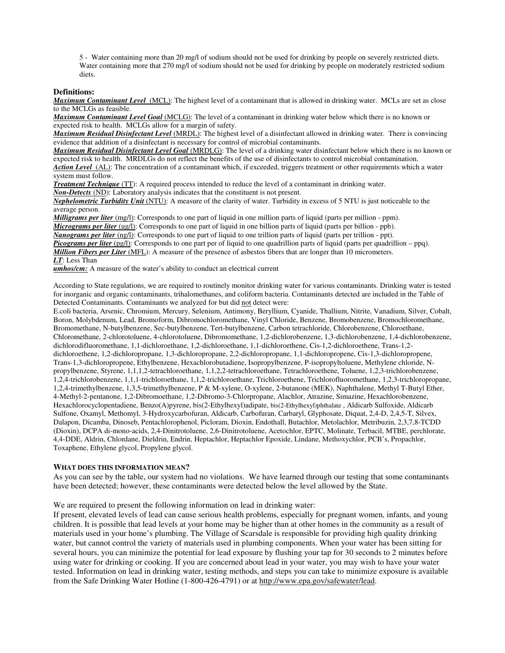5 - Water containing more than 20 mg/l of sodium should not be used for drinking by people on severely restricted diets. Water containing more that 270 mg/l of sodium should not be used for drinking by people on moderately restricted sodium diets.

#### **Definitions:**

*Maximum Contaminant Level*(MCL): The highest level of a contaminant that is allowed in drinking water. MCLs are set as close to the MCLGs as feasible.

*Maximum Contaminant Level Goal* (MCLG): The level of a contaminant in drinking water below which there is no known or expected risk to health. MCLGs allow for a margin of safety.

*Maximum Residual Disinfectant Level* (MRDL): The highest level of a disinfectant allowed in drinking water. There is convincing evidence that addition of a disinfectant is necessary for control of microbial contaminants.

*Maximum Residual Disinfectant Level Goal* (MRDLG): The level of a drinking water disinfectant below which there is no known or expected risk to health. MRDLGs do not reflect the benefits of the use of disinfectants to control microbial contamination.

*Action Level*(AL): The concentration of a contaminant which, if exceeded, triggers treatment or other requirements which a water system must follow.

*Treatment Technique* (TT): A required process intended to reduce the level of a contaminant in drinking water.

*Non-Detects* (ND): Laboratory analysis indicates that the constituent is not present.

*Nephelometric Turbidity Unit* (NTU): A measure of the clarity of water. Turbidity in excess of 5 NTU is just noticeable to the average person.

*Milligrams per liter* (mg/l): Corresponds to one part of liquid in one million parts of liquid (parts per million - ppm). *Micrograms per liter* (ug/l): Corresponds to one part of liquid in one billion parts of liquid (parts per billion - ppb).

*Nanograms per liter* (ng/l): Corresponds to one part of liquid to one trillion parts of liquid (parts per trillion - ppt).

*Picograms per liter* (pg/l): Corresponds to one part per of liquid to one quadrillion parts of liquid (parts per quadrillion – ppq).

*Million Fibers per Liter* (MFL): A measure of the presence of asbestos fibers that are longer than 10 micrometers.

*LT*: Less Than

**umhos/cm:** A measure of the water's ability to conduct an electrical current

According to State regulations, we are required to routinely monitor drinking water for various contaminants. Drinking water is tested for inorganic and organic contaminants, trihalomethanes, and coliform bacteria. Contaminants detected are included in the Table of Detected Contaminants. Contaminants we analyzed for but did not detect were:

E.coli bacteria, Arsenic, Chromium, Mercury, Selenium, Antimony, Beryllium, Cyanide, Thallium, Nitrite, Vanadium, Silver, Cobalt, Boron, Molybdenum, Lead, Bromoform, Dibromochloromethane, Vinyl Chloride, Benzene, Bromobenzene, Bromochloromethane, Bromomethane, N-butylbenzene, Sec-butylbenzene, Tert-butylbenzene, Carbon tetrachloride, Chlorobenzene, Chloroethane, Chloromethane, 2-chlorotoluene, 4-chlorotoluene, Dibromomethane, 1,2-dichlorobenzene, 1,3-dichlorobenzene, 1,4-dichlorobenzene, dichlorodifluoromethane, 1,1-dichloroethane, 1,2-dichloroethane, 1,1-dichloroethene, Cis-1,2-dichloroethene, Trans-1,2 dichloroethene, 1,2-dichloropropane, 1,3-dichloropropane, 2,2-dichloropropane, 1,1-dichloropropene, Cis-1,3-dichloropropene, Trans-1,3-dichloropropene, Ethylbenzene, Hexachlorobutadiene, Isopropylbenzene, P-isopropyltoluene, Methylene chloride, Npropylbenzene, Styrene, 1,1,1,2-tetrachloroethane, 1,1,2,2-tetrachloroethane, Tetrachloroethene, Toluene, 1,2,3-trichlorobenzene, 1,2,4-trichlorobenzene, 1,1,1-trichloroethane, 1,1,2-trichloroethane, Trichloroethene, Trichlorofluoromethane, 1,2,3-trichloropropane, 1,2,4-trimethylbenzene, 1,3,5-trimethylbenzene, P & M-xylene, O-xylene, 2-butanone (MEK), Naphthalene, Methyl T-Butyl Ether, 4-Methyl-2-pentanone, 1,2-Dibromoethane, 1,2-Dibromo-3-Chlorpropane, Alachlor, Atrazine, Simazine, Hexachlorobenzene, Hexachlorocyclopentadiene, Benzo(A)pyrene, bis(2-Ethylhexyl)adipate, bis(2-Ethylhexyl)phthalate , Aldicarb Sulfoxide, Aldicarb Sulfone, Oxamyl, Methomyl, 3-Hydroxycarbofuran, Aldicarb, Carbofuran, Carbaryl, Glyphosate, Diquat, 2,4-D, 2,4,5-T, Silvex, Dalapon, Dicamba, Dinoseb, Pentachlorophenol, Picloram, Dioxin, Endothall, Butachlor, Metolachlor, Metribuzin, 2,3,7,8-TCDD (Dioxin), DCPA di-mono-acids, 2,4-Dinitrotoluene, 2,6-Dinitrotoluene, Acetochlor, EPTC, Molinate, Terbacil, MTBE, perchlorate, 4,4-DDE, Aldrin, Chlordane, Dieldrin, Endrin, Heptachlor, Heptachlor Epoxide, Lindane, Methoxychlor, PCB's, Propachlor, Toxaphene, Ethylene glycol, Propylene glycol.

# **WHAT DOES THIS INFORMATION MEAN?**

As you can see by the table, our system had no violations. We have learned through our testing that some contaminants have been detected; however, these contaminants were detected below the level allowed by the State.

We are required to present the following information on lead in drinking water:

If present, elevated levels of lead can cause serious health problems, especially for pregnant women, infants, and young children. It is possible that lead levels at your home may be higher than at other homes in the community as a result of materials used in your home's plumbing. The Village of Scarsdale is responsible for providing high quality drinking water, but cannot control the variety of materials used in plumbing components. When your water has been sitting for several hours, you can minimize the potential for lead exposure by flushing your tap for 30 seconds to 2 minutes before using water for drinking or cooking. If you are concerned about lead in your water, you may wish to have your water tested. Information on lead in drinking water, testing methods, and steps you can take to minimize exposure is available from the Safe Drinking Water Hotline (1-800-426-4791) or at http://www.epa.gov/safewater/lead.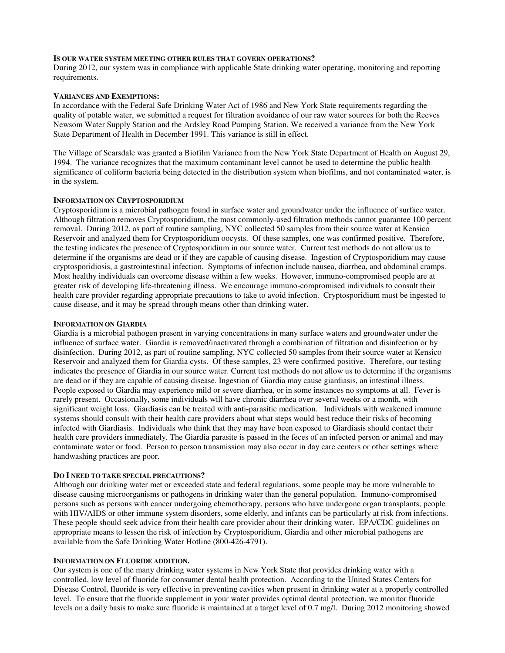#### **IS OUR WATER SYSTEM MEETING OTHER RULES THAT GOVERN OPERATIONS?**

During 2012, our system was in compliance with applicable State drinking water operating, monitoring and reporting requirements.

# **VARIANCES AND EXEMPTIONS:**

In accordance with the Federal Safe Drinking Water Act of 1986 and New York State requirements regarding the quality of potable water, we submitted a request for filtration avoidance of our raw water sources for both the Reeves Newsom Water Supply Station and the Ardsley Road Pumping Station. We received a variance from the New York State Department of Health in December 1991. This variance is still in effect.

The Village of Scarsdale was granted a Biofilm Variance from the New York State Department of Health on August 29, 1994. The variance recognizes that the maximum contaminant level cannot be used to determine the public health significance of coliform bacteria being detected in the distribution system when biofilms, and not contaminated water, is in the system.

# **INFORMATION ON CRYPTOSPORIDIUM**

Cryptosporidium is a microbial pathogen found in surface water and groundwater under the influence of surface water. Although filtration removes Cryptosporidium, the most commonly-used filtration methods cannot guarantee 100 percent removal. During 2012, as part of routine sampling, NYC collected 50 samples from their source water at Kensico Reservoir and analyzed them for Cryptosporidium oocysts. Of these samples, one was confirmed positive. Therefore, the testing indicates the presence of Cryptosporidium in our source water. Current test methods do not allow us to determine if the organisms are dead or if they are capable of causing disease. Ingestion of Cryptosporidium may cause cryptosporidiosis, a gastrointestinal infection. Symptoms of infection include nausea, diarrhea, and abdominal cramps. Most healthy individuals can overcome disease within a few weeks. However, immuno-compromised people are at greater risk of developing life-threatening illness. We encourage immuno-compromised individuals to consult their health care provider regarding appropriate precautions to take to avoid infection. Cryptosporidium must be ingested to cause disease, and it may be spread through means other than drinking water.

#### **INFORMATION ON GIARDIA**

Giardia is a microbial pathogen present in varying concentrations in many surface waters and groundwater under the influence of surface water. Giardia is removed/inactivated through a combination of filtration and disinfection or by disinfection. During 2012, as part of routine sampling, NYC collected 50 samples from their source water at Kensico Reservoir and analyzed them for Giardia cysts. Of these samples, 23 were confirmed positive. Therefore, our testing indicates the presence of Giardia in our source water. Current test methods do not allow us to determine if the organisms are dead or if they are capable of causing disease. Ingestion of Giardia may cause giardiasis, an intestinal illness. People exposed to Giardia may experience mild or severe diarrhea, or in some instances no symptoms at all. Fever is rarely present. Occasionally, some individuals will have chronic diarrhea over several weeks or a month, with significant weight loss. Giardiasis can be treated with anti-parasitic medication. Individuals with weakened immune systems should consult with their health care providers about what steps would best reduce their risks of becoming infected with Giardiasis. Individuals who think that they may have been exposed to Giardiasis should contact their health care providers immediately. The Giardia parasite is passed in the feces of an infected person or animal and may contaminate water or food. Person to person transmission may also occur in day care centers or other settings where handwashing practices are poor.

# **DO I NEED TO TAKE SPECIAL PRECAUTIONS?**

Although our drinking water met or exceeded state and federal regulations, some people may be more vulnerable to disease causing microorganisms or pathogens in drinking water than the general population. Immuno-compromised persons such as persons with cancer undergoing chemotherapy, persons who have undergone organ transplants, people with HIV/AIDS or other immune system disorders, some elderly, and infants can be particularly at risk from infections. These people should seek advice from their health care provider about their drinking water. EPA/CDC guidelines on appropriate means to lessen the risk of infection by Cryptosporidium, Giardia and other microbial pathogens are available from the Safe Drinking Water Hotline (800-426-4791).

#### **INFORMATION ON FLUORIDE ADDITION.**

Our system is one of the many drinking water systems in New York State that provides drinking water with a controlled, low level of fluoride for consumer dental health protection. According to the United States Centers for Disease Control, fluoride is very effective in preventing cavities when present in drinking water at a properly controlled level. To ensure that the fluoride supplement in your water provides optimal dental protection, we monitor fluoride levels on a daily basis to make sure fluoride is maintained at a target level of 0.7 mg/l. During 2012 monitoring showed